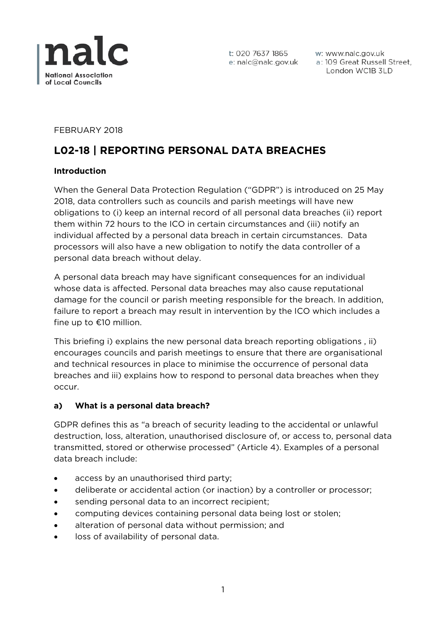

w: www.nalc.gov.uk a: 109 Great Russell Street, London WC1B 3LD

FEBRUARY 2018

# **L02-18 | REPORTING PERSONAL DATA BREACHES**

#### **Introduction**

When the General Data Protection Regulation ("GDPR") is introduced on 25 May 2018, data controllers such as councils and parish meetings will have new obligations to (i) keep an internal record of all personal data breaches (ii) report them within 72 hours to the ICO in certain circumstances and (iii) notify an individual affected by a personal data breach in certain circumstances. Data processors will also have a new obligation to notify the data controller of a personal data breach without delay.

A personal data breach may have significant consequences for an individual whose data is affected. Personal data breaches may also cause reputational damage for the council or parish meeting responsible for the breach. In addition, failure to report a breach may result in intervention by the ICO which includes a fine up to €10 million.

This briefing i) explains the new personal data breach reporting obligations , ii) encourages councils and parish meetings to ensure that there are organisational and technical resources in place to minimise the occurrence of personal data breaches and iii) explains how to respond to personal data breaches when they occur.

#### **a) What is a personal data breach?**

GDPR defines this as "a breach of security leading to the accidental or unlawful destruction, loss, alteration, unauthorised disclosure of, or access to, personal data transmitted, stored or otherwise processed" (Article 4). Examples of a personal data breach include:

- access by an unauthorised third party;
- deliberate or accidental action (or inaction) by a controller or processor;
- sending personal data to an incorrect recipient;
- computing devices containing personal data being lost or stolen;
- alteration of personal data without permission; and
- loss of availability of personal data.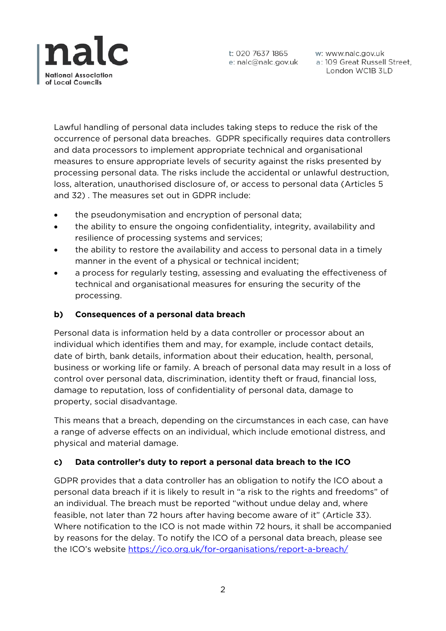

w: www.nalc.gov.uk a: 109 Great Russell Street, London WC1B 3LD

Lawful handling of personal data includes taking steps to reduce the risk of the occurrence of personal data breaches. GDPR specifically requires data controllers and data processors to implement appropriate technical and organisational measures to ensure appropriate levels of security against the risks presented by processing personal data. The risks include the accidental or unlawful destruction, loss, alteration, unauthorised disclosure of, or access to personal data (Articles 5 and 32) . The measures set out in GDPR include:

- the pseudonymisation and encryption of personal data;
- the ability to ensure the ongoing confidentiality, integrity, availability and resilience of processing systems and services;
- the ability to restore the availability and access to personal data in a timely manner in the event of a physical or technical incident;
- a process for regularly testing, assessing and evaluating the effectiveness of technical and organisational measures for ensuring the security of the processing.

## **b) Consequences of a personal data breach**

Personal data is information held by a data controller or processor about an individual which identifies them and may, for example, include contact details, date of birth, bank details, information about their education, health, personal, business or working life or family. A breach of personal data may result in a loss of control over personal data, discrimination, identity theft or fraud, financial loss, damage to reputation, loss of confidentiality of personal data, damage to property, social disadvantage.

This means that a breach, depending on the circumstances in each case, can have a range of adverse effects on an individual, which include emotional distress, and physical and material damage.

## **c) Data controller's duty to report a personal data breach to the ICO**

GDPR provides that a data controller has an obligation to notify the ICO about a personal data breach if it is likely to result in "a risk to the rights and freedoms" of an individual. The breach must be reported "without undue delay and, where feasible, not later than 72 hours after having become aware of it" (Article 33). Where notification to the ICO is not made within 72 hours, it shall be accompanied by reasons for the delay. To notify the ICO of a personal data breach, please see the ICO's website<https://ico.org.uk/for-organisations/report-a-breach/>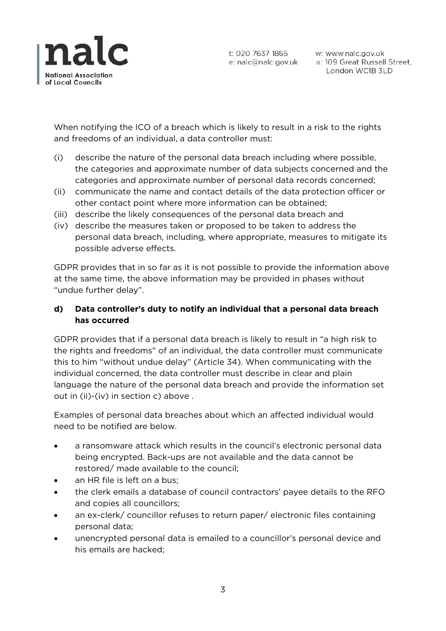

w: www.nalc.gov.uk a: 109 Great Russell Street, London WC1B 3LD

When notifying the ICO of a breach which is likely to result in a risk to the rights and freedoms of an individual, a data controller must:

- (i) describe the nature of the personal data breach including where possible, the categories and approximate number of data subjects concerned and the categories and approximate number of personal data records concerned;
- (ii) communicate the name and contact details of the data protection officer or other contact point where more information can be obtained;
- (iii) describe the likely consequences of the personal data breach and
- (iv) describe the measures taken or proposed to be taken to address the personal data breach, including, where appropriate, measures to mitigate its possible adverse effects.

GDPR provides that in so far as it is not possible to provide the information above at the same time, the above information may be provided in phases without "undue further delay".

#### **d) Data controller's duty to notify an individual that a personal data breach has occurred**

GDPR provides that if a personal data breach is likely to result in "a high risk to the rights and freedoms" of an individual, the data controller must communicate this to him "without undue delay" (Article 34). When communicating with the individual concerned, the data controller must describe in clear and plain language the nature of the personal data breach and provide the information set out in (ii)-(iv) in section c) above .

Examples of personal data breaches about which an affected individual would need to be notified are below.

- a ransomware attack which results in the council's electronic personal data being encrypted. Back-ups are not available and the data cannot be restored/ made available to the council;
- an HR file is left on a bus:
- the clerk emails a database of council contractors' payee details to the RFO and copies all councillors;
- an ex-clerk/ councillor refuses to return paper/ electronic files containing personal data;
- unencrypted personal data is emailed to a councillor's personal device and his emails are hacked;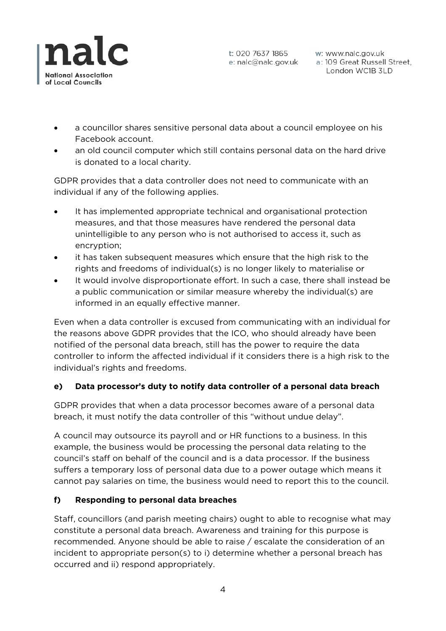

w: www.nalc.gov.uk a: 109 Great Russell Street, London WC1B 3LD

- a councillor shares sensitive personal data about a council employee on his Facebook account.
- an old council computer which still contains personal data on the hard drive is donated to a local charity.

GDPR provides that a data controller does not need to communicate with an individual if any of the following applies.

- It has implemented appropriate technical and organisational protection measures, and that those measures have rendered the personal data unintelligible to any person who is not authorised to access it, such as encryption;
- it has taken subsequent measures which ensure that the high risk to the rights and freedoms of individual(s) is no longer likely to materialise or
- It would involve disproportionate effort. In such a case, there shall instead be a public communication or similar measure whereby the individual(s) are informed in an equally effective manner.

Even when a data controller is excused from communicating with an individual for the reasons above GDPR provides that the ICO, who should already have been notified of the personal data breach, still has the power to require the data controller to inform the affected individual if it considers there is a high risk to the individual's rights and freedoms.

## **e) Data processor's duty to notify data controller of a personal data breach**

GDPR provides that when a data processor becomes aware of a personal data breach, it must notify the data controller of this "without undue delay".

A council may outsource its payroll and or HR functions to a business. In this example, the business would be processing the personal data relating to the council's staff on behalf of the council and is a data processor. If the business suffers a temporary loss of personal data due to a power outage which means it cannot pay salaries on time, the business would need to report this to the council.

## **f) Responding to personal data breaches**

Staff, councillors (and parish meeting chairs) ought to able to recognise what may constitute a personal data breach. Awareness and training for this purpose is recommended. Anyone should be able to raise / escalate the consideration of an incident to appropriate person(s) to i) determine whether a personal breach has occurred and ii) respond appropriately.